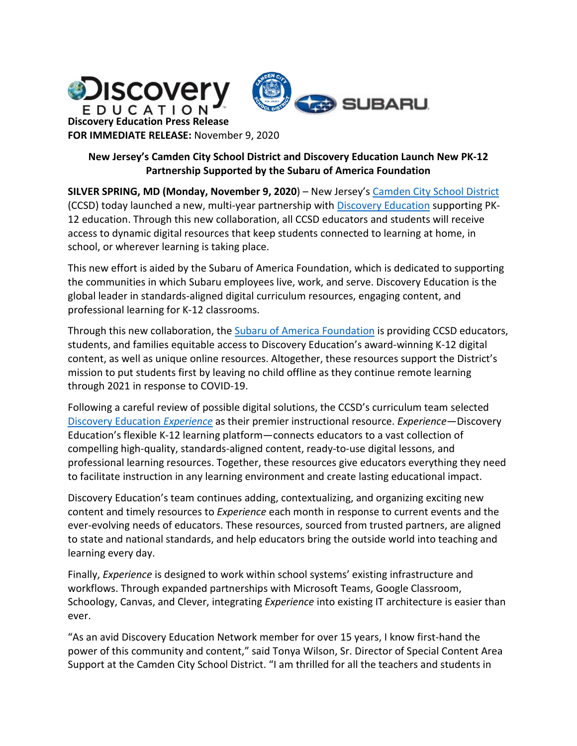

# **New Jersey's Camden City School District and Discovery Education Launch New PK-12 Partnership Supported by the Subaru of America Foundation**

**SILVER SPRING, MD (Monday, November 9, 2020**) – New Jersey's [Camden City School District](http://www.camden.k12.nj.us/) (CCSD) today launched a new, multi-year partnership wit[h Discovery Education](https://www.discoveryeducation.com/?utm_source=de_marketing&utm_medium=press_release&utm_campaign=curiosity) supporting PK-12 education. Through this new collaboration, all CCSD educators and students will receive access to dynamic digital resources that keep students connected to learning at home, in school, or wherever learning is taking place.

This new effort is aided by the Subaru of America Foundation, which is dedicated to supporting the communities in which Subaru employees live, work, and serve. Discovery Education is the global leader in standards-aligned digital curriculum resources, engaging content, and professional learning for K-12 classrooms.

Through this new collaboration, the [Subaru of America](https://www.subaru.com/about-subaru/subaru-foundation.html) Foundation is providing CCSD educators, students, and families equitable access to Discovery Education's award-winning K-12 digital content, as well as unique online resources. Altogether, these resources support the District's mission to put students first by leaving no child offline as they continue remote learning through 2021 in response to COVID-19.

Following a careful review of possible digital solutions, the CCSD's curriculum team selected [Discovery Education](https://www.discoveryeducation.com/programs/experience?utm_source=de_marketing&utm_medium=press_release&utm_campaign=curiosity) *Experience* as their premier instructional resource. *Experience*—Discovery Education's flexible K-12 learning platform—connects educators to a vast collection of compelling high-quality, standards-aligned content, ready-to-use digital lessons, and professional learning resources. Together, these resources give educators everything they need to facilitate instruction in any learning environment and create lasting educational impact.

Discovery Education's team continues adding, contextualizing, and organizing exciting new content and timely resources to *Experience* each month in response to current events and the ever-evolving needs of educators. These resources, sourced from trusted partners, are aligned to state and national standards, and help educators bring the outside world into teaching and learning every day.

Finally, *Experience* is designed to work within school systems' existing infrastructure and workflows. Through expanded partnerships with Microsoft Teams, Google Classroom, Schoology, Canvas, and Clever, integrating *Experience* into existing IT architecture is easier than ever.

"As an avid Discovery Education Network member for over 15 years, I know first-hand the power of this community and content," said Tonya Wilson, Sr. Director of Special Content Area Support at the Camden City School District. "I am thrilled for all the teachers and students in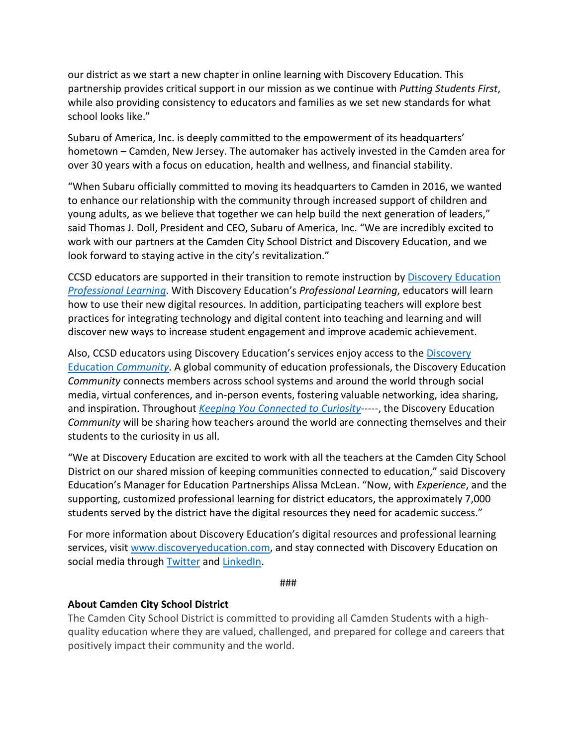our district as we start a new chapter in online learning with Discovery Education. This partnership provides critical support in our mission as we continue with *Putting Students First*, while also providing consistency to educators and families as we set new standards for what school looks like."

Subaru of America, Inc. is deeply committed to the empowerment of its headquarters' hometown – Camden, New Jersey. The automaker has actively invested in the Camden area for over 30 years with a focus on education, health and wellness, and financial stability.

"When Subaru officially committed to moving its headquarters to Camden in 2016, we wanted to enhance our relationship with the community through increased support of children and young adults, as we believe that together we can help build the next generation of leaders," said Thomas J. Doll, President and CEO, Subaru of America, Inc. "We are incredibly excited to work with our partners at the Camden City School District and Discovery Education, and we look forward to staying active in the city's revitalization."

CCSD educators are supported in their transition to remote instruction by [Discovery Education](https://www.discoveryeducation.com/programs/professional-learning?utm_source=de_marketing&utm_medium=press_release&utm_campaign=curiosity)  *[Professional Learning](https://www.discoveryeducation.com/programs/professional-learning?utm_source=de_marketing&utm_medium=press_release&utm_campaign=curiosity)*. With Discovery Education's *Professional Learning*, educators will learn how to use their new digital resources. In addition, participating teachers will explore best practices for integrating technology and digital content into teaching and learning and will discover new ways to increase student engagement and improve academic achievement.

Also, CCSD educators using Discovery Education's services enjoy access to the [Discovery](https://www.discoveryeducation.com/community/den-community/?utm_source=de_marketing&utm_medium=press_release&utm_campaign=07152020_New_Update_To_Experience)  Education *[Community](https://www.discoveryeducation.com/community/den-community/?utm_source=de_marketing&utm_medium=press_release&utm_campaign=07152020_New_Update_To_Experience)*. A global community of education professionals, the Discovery Education *Community* connects members across school systems and around the world through social media, virtual conferences, and in-person events, fostering valuable networking, idea sharing, and inspiration. Throughout *[Keeping You Connected to Curiosity](https://www.discoveryeducation.com/info/curiosity/?utm_source=de_marketing&utm_medium=press_release&utm_campaign=curiosity)*-----, the Discovery Education *Community* will be sharing how teachers around the world are connecting themselves and their students to the curiosity in us all.

"We at Discovery Education are excited to work with all the teachers at the Camden City School District on our shared mission of keeping communities connected to education," said Discovery Education's Manager for Education Partnerships Alissa McLean. "Now, with *Experience*, and the supporting, customized professional learning for district educators, the approximately 7,000 students served by the district have the digital resources they need for academic success."

For more information about Discovery Education's digital resources and professional learning services, visit [www.discoveryeducation.com,](http://www.discoveryeducation.com/) and stay connected with Discovery Education on social media through [Twitter](https://twitter.com/discoveryed) and [LinkedIn.](https://www.linkedin.com/company/discoveryed/)

###

## **About Camden City School District**

The Camden City School District is committed to providing all Camden Students with a highquality education where they are valued, challenged, and prepared for college and careers that positively impact their community and the world.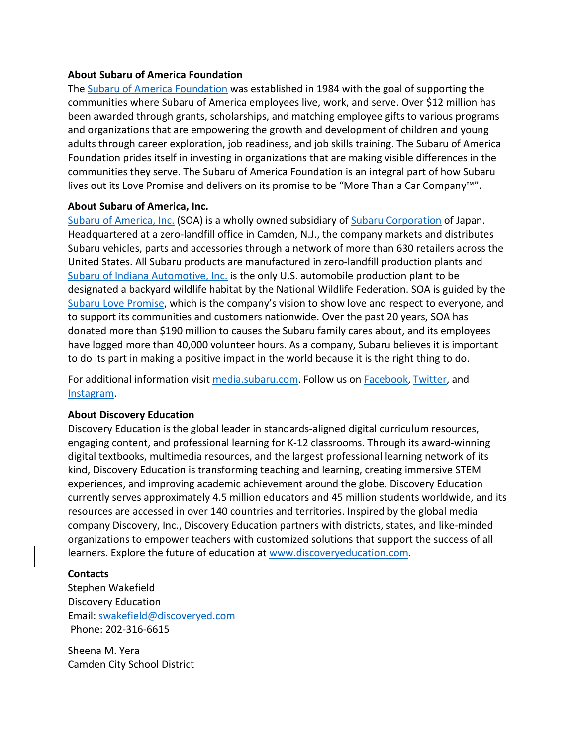### **About Subaru of America Foundation**

The Subaru of America Foundation was established in 1984 with the goal of supporting the communities where Subaru of America employees live, work, and serve. Over \$12 million has been awarded through grants, scholarships, and matching employee gifts to various programs and organizations that are empowering the growth and development of children and young adults through career exploration, job readiness, and job skills training. The Subaru of America Foundation prides itself in investing in organizations that are making visible differences in the communities they serve. The Subaru of America Foundation is an integral part of how Subaru lives out its Love Promise and delivers on its promise to be "More Than a Car Company™".

## **About Subaru of America, Inc.**

Subaru of America, Inc. (SOA) is a wholly owned subsidiary of Subaru Corporation of Japan. Headquartered at a zero-landfill office in Camden, N.J., the company markets and distributes Subaru vehicles, parts and accessories through a network of more than 630 retailers across the United States. All Subaru products are manufactured in zero-landfill production plants and Subaru of Indiana Automotive, Inc. is the only U.S. automobile production plant to be designated a backyard wildlife habitat by the National Wildlife Federation. SOA is guided by the Subaru Love Promise, which is the company's vision to show love and respect to everyone, and to support its communities and customers nationwide. Over the past 20 years, SOA has donated more than \$190 million to causes the Subaru family cares about, and its employees have logged more than 40,000 volunteer hours. As a company, Subaru believes it is important to do its part in making a positive impact in the world because it is the right thing to do.

For additional information visit media.subaru.com. Follow us on Facebook, Twitter, and Instagram.

## **About Discovery Education**

Discovery Education is the global leader in standards-aligned digital curriculum resources, engaging content, and professional learning for K-12 classrooms. Through its award-winning digital textbooks, multimedia resources, and the largest professional learning network of its kind, Discovery Education is transforming teaching and learning, creating immersive STEM experiences, and improving academic achievement around the globe. Discovery Education currently serves approximately 4.5 million educators and 45 million students worldwide, and its resources are accessed in over 140 countries and territories. Inspired by the global media company Discovery, Inc., Discovery Education partners with districts, states, and like-minded organizations to empower teachers with customized solutions that support the success of all learners. Explore the future of education a[t www.discoveryeducation.com.](http://www.discoveryeducation.com/)

## **Contacts**

Stephen Wakefield Discovery Education Email: [swakefield@discoveryed.com](mailto:swakefield@discoveryed.com) Phone: 202-316-6615

Sheena M. Yera Camden City School District